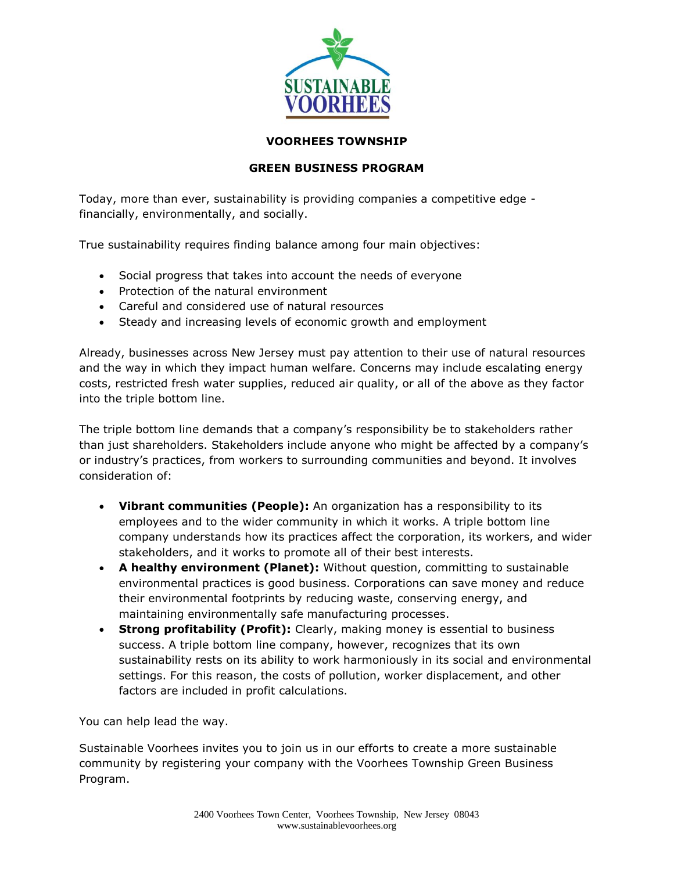

## **VOORHEES TOWNSHIP**

## **GREEN BUSINESS PROGRAM**

Today, more than ever, sustainability is providing companies a competitive edge financially, environmentally, and socially.

True sustainability requires finding balance among four main objectives:

- Social progress that takes into account the needs of everyone
- Protection of the natural environment
- Careful and considered use of natural resources
- Steady and increasing levels of economic growth and employment

Already, businesses across New Jersey must pay attention to their use of natural resources and the way in which they impact human welfare. Concerns may include escalating energy costs, restricted fresh water supplies, reduced air quality, or all of the above as they factor into the triple bottom line.

The triple bottom line demands that a company's responsibility be to stakeholders rather than just shareholders. Stakeholders include anyone who might be affected by a company's or industry's practices, from workers to surrounding communities and beyond. It involves consideration of:

- **Vibrant communities (People):** An organization has a responsibility to its employees and to the wider community in which it works. A triple bottom line company understands how its practices affect the corporation, its workers, and wider stakeholders, and it works to promote all of their best interests.
- **A healthy environment (Planet):** Without question, committing to sustainable environmental practices is good business. Corporations can save money and reduce their environmental footprints by reducing waste, conserving energy, and maintaining environmentally safe manufacturing processes.
- **Strong profitability (Profit):** Clearly, making money is essential to business success. A triple bottom line company, however, recognizes that its own sustainability rests on its ability to work harmoniously in its social and environmental settings. For this reason, the costs of pollution, worker displacement, and other factors are included in profit calculations.

You can help lead the way.

Sustainable Voorhees invites you to join us in our efforts to create a more sustainable community by registering your company with the Voorhees Township Green Business Program.